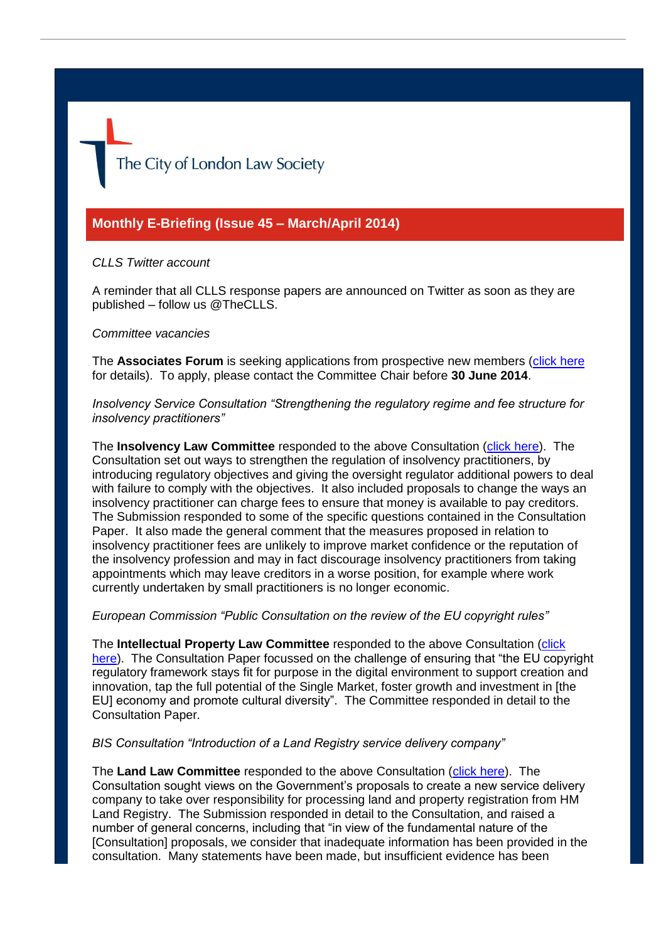The City of London Law Society

# **Monthly E-Briefing (Issue 45 – March/April 2014)**

## *CLLS Twitter account*

A reminder that all CLLS response papers are announced on Twitter as soon as they are published – follow us @TheCLLS.

#### *Committee vacancies*

The **Associates Forum** is seeking applications from prospective new members [\(click here](http://www.citysolicitors.org.uk/attachments/article/78/20140428%20Proposed%20advertisement%20for%20the%20Associates%20Forum.pdf) for details). To apply, please contact the Committee Chair before **30 June 2014**.

*Insolvency Service Consultation "Strengthening the regulatory regime and fee structure for insolvency practitioners"*

The **Insolvency Law Committee** responded to the above Consultation [\(click here\)](http://www.citysolicitors.org.uk/attachments/article/119/IP%20regulation%20and%20fee%20structure%20consultation%20response%2031%20March%202014.pdf). The Consultation set out ways to strengthen the regulation of insolvency practitioners, by introducing regulatory objectives and giving the oversight regulator additional powers to deal with failure to comply with the objectives. It also included proposals to change the ways an insolvency practitioner can charge fees to ensure that money is available to pay creditors. The Submission responded to some of the specific questions contained in the Consultation Paper. It also made the general comment that the measures proposed in relation to insolvency practitioner fees are unlikely to improve market confidence or the reputation of the insolvency profession and may in fact discourage insolvency practitioners from taking appointments which may leave creditors in a worse position, for example where work currently undertaken by small practitioners is no longer economic.

*European Commission "Public Consultation on the review of the EU copyright rules"*

The **Intellectual Property Law Committee** responded to the above Consultation [\(click](http://www.citysolicitors.org.uk/attachments/article/115/20140305%20CLLS%20IP%20Committee%20response%20to%20EU%20)  [here\)](http://www.citysolicitors.org.uk/attachments/article/115/20140305%20CLLS%20IP%20Committee%20response%20to%20EU%20). The Consultation Paper focussed on the challenge of ensuring that "the EU copyright" regulatory framework stays fit for purpose in the digital environment to support creation and innovation, tap the full potential of the Single Market, foster growth and investment in [the EU] economy and promote cultural diversity". The Committee responded in detail to the Consultation Paper.

## *BIS Consultation "Introduction of a Land Registry service delivery company"*

The **Land Law Committee** responded to the above Consultation [\(click here\)](http://www.citysolicitors.org.uk/attachments/article/114/20140320%20CLLS%20response%20to%20BIS%20consultation%20). The Consultation sought views on the Government's proposals to create a new service delivery company to take over responsibility for processing land and property registration from HM Land Registry. The Submission responded in detail to the Consultation, and raised a number of general concerns, including that "in view of the fundamental nature of the [Consultation] proposals, we consider that inadequate information has been provided in the consultation. Many statements have been made, but insufficient evidence has been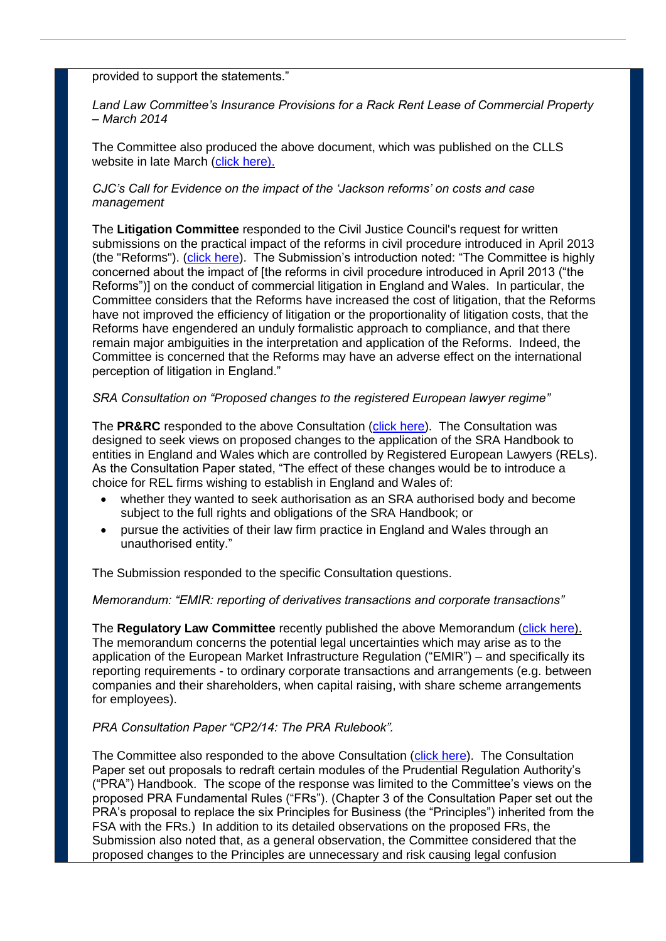provided to support the statements."

*Land Law Committee's Insurance Provisions for a Rack Rent Lease of Commercial Property – March 2014*

The Committee also produced the above document, which was published on the CLLS website in late March [\(click here\)](http://www.citysolicitors.org.uk/attachments/article/114/CLLS%20Land%20Law%20committee%20Insurance%20Provisions_CLEANED.pdf).

## *CJC's Call for Evidence on the impact of the 'Jackson reforms' on costs and case management*

The **Litigation Committee** responded to the Civil Justice Council's request for written submissions on the practical impact of the reforms in civil procedure introduced in April 2013 (the "Reforms"). [\(click here\)](http://www.citysolicitors.org.uk/attachments/article/112/20140307%20CLLS%20paper%20for%20CJC%20on%20Jackson%20reforms%2035243-5-114%20v1%201%20(3)%20(final).pdf). The Submission's introduction noted: "The Committee is highly concerned about the impact of [the reforms in civil procedure introduced in April 2013 ("the Reforms")] on the conduct of commercial litigation in England and Wales. In particular, the Committee considers that the Reforms have increased the cost of litigation, that the Reforms have not improved the efficiency of litigation or the proportionality of litigation costs, that the Reforms have engendered an unduly formalistic approach to compliance, and that there remain major ambiguities in the interpretation and application of the Reforms. Indeed, the Committee is concerned that the Reforms may have an adverse effect on the international perception of litigation in England."

## *SRA Consultation on "Proposed changes to the registered European lawyer regime"*

The **PR&RC** responded to the above Consultation [\(click here\)](http://www.citysolicitors.org.uk/attachments/article/108/Proposed%20Changes%20in%20Registered%20European%20Lawyers%20Regime.pdf). The Consultation was designed to seek views on proposed changes to the application of the SRA Handbook to entities in England and Wales which are controlled by Registered European Lawyers (RELs). As the Consultation Paper stated, "The effect of these changes would be to introduce a choice for REL firms wishing to establish in England and Wales of:

- whether they wanted to seek authorisation as an SRA authorised body and become subject to the full rights and obligations of the SRA Handbook; or
- pursue the activities of their law firm practice in England and Wales through an unauthorised entity."

The Submission responded to the specific Consultation questions.

## *Memorandum: "EMIR: reporting of derivatives transactions and corporate transactions"*

The **Regulatory Law Committee** recently published the above Memorandum [\(click here\)](http://www.citysolicitors.org.uk/attachments/article/106/20140314%20CLLS%20Memorandum%20on%20EMIR%20-%20reporting%20of%20derivatives%20transactions%20and%20corporate%20transactions%20(final).pdf). The memorandum concerns the potential legal uncertainties which may arise as to the application of the European Market Infrastructure Regulation ("EMIR") – and specifically its reporting requirements - to ordinary corporate transactions and arrangements (e.g. between companies and their shareholders, when capital raising, with share scheme arrangements for employees).

## *PRA Consultation Paper "CP2/14: The PRA Rulebook".*

The Committee also responded to the above Consultation [\(click here\)](http://www.citysolicitors.org.uk/attachments/article/106/PRA%20Rulebook%20CP214.pdf). The Consultation Paper set out proposals to redraft certain modules of the Prudential Regulation Authority's ("PRA") Handbook. The scope of the response was limited to the Committee's views on the proposed PRA Fundamental Rules ("FRs"). (Chapter 3 of the Consultation Paper set out the PRA's proposal to replace the six Principles for Business (the "Principles") inherited from the FSA with the FRs.) In addition to its detailed observations on the proposed FRs, the Submission also noted that, as a general observation, the Committee considered that the proposed changes to the Principles are unnecessary and risk causing legal confusion